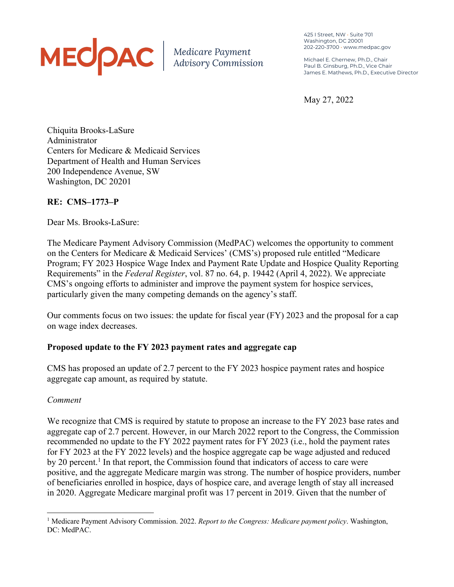# MECOAC | Medicare Payment

425 I Street, NW • Suite 701 Washington, DC 20001 202-220-3700 • www.medpac.gov

Michael E. Chernew, Ph.D., Chair Paul B. Ginsburg, Ph.D., Vice Chair James E. Mathews, Ph.D., Executive Director

May 27, 2022

Chiquita Brooks-LaSure Administrator Centers for Medicare & Medicaid Services Department of Health and Human Services 200 Independence Avenue, SW Washington, DC 20201

## **RE: CMS–1773–P**

Dear Ms. Brooks-LaSure:

The Medicare Payment Advisory Commission (MedPAC) welcomes the opportunity to comment on the Centers for Medicare & Medicaid Services' (CMS's) proposed rule entitled "Medicare Program; FY 2023 Hospice Wage Index and Payment Rate Update and Hospice Quality Reporting Requirements" in the *Federal Register*, vol. 87 no. 64, p. 19442 (April 4, 2022). We appreciate CMS's ongoing efforts to administer and improve the payment system for hospice services, particularly given the many competing demands on the agency's staff.

Our comments focus on two issues: the update for fiscal year (FY) 2023 and the proposal for a cap on wage index decreases.

### **Proposed update to the FY 2023 payment rates and aggregate cap**

CMS has proposed an update of 2.7 percent to the FY 2023 hospice payment rates and hospice aggregate cap amount, as required by statute.

### *Comment*

We recognize that CMS is required by statute to propose an increase to the FY 2023 base rates and aggregate cap of 2.7 percent. However, in our March 2022 report to the Congress, the Commission recommended no update to the FY 2022 payment rates for FY 2023 (i.e., hold the payment rates for FY 2023 at the FY 2022 levels) and the hospice aggregate cap be wage adjusted and reduced by 20 percent.<sup>1</sup> In that report, the Commission found that indicators of access to care were positive, and the aggregate Medicare margin was strong. The number of hospice providers, number of beneficiaries enrolled in hospice, days of hospice care, and average length of stay all increased in 2020. Aggregate Medicare marginal profit was 17 percent in 2019. Given that the number of

<sup>1</sup> Medicare Payment Advisory Commission. 2022. *Report to the Congress: Medicare payment policy*. Washington, DC: MedPAC.